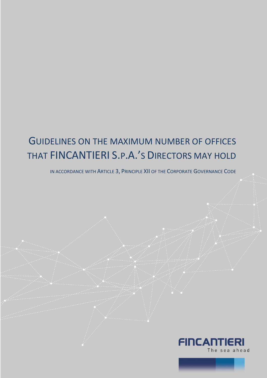## GUIDELINES ON THE MAXIMUM NUMBER OF OFFICES THAT FINCANTIERI S.P.A.'S DIRECTORS MAY HOLD

IN ACCORDANCE WITH ARTICLE 3, PRINCIPLE XII OF THE CORPORATE GOVERNANCE CODE

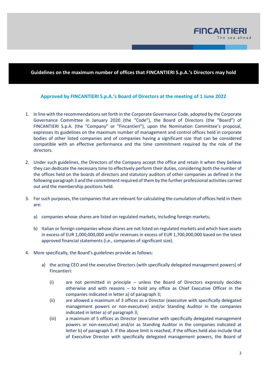

## **Guidelines on the maximum number of offices that FINCANTIERI S.p.A.'s Directors may hold**

## **Approved by FINCANTIERI S.p.A.'s Board of Directors at the meeting of 1 June 2022**

- 1. In line with the recommendations set forth in the Corporate Governance Code, adopted by the Corporate Governance Committee in January 2020 (the "Code"), the Board of Directors (the "Board") of FINCANTIERI S.p.A. (the "Company" or "Fincantieri"), upon the Nomination Committee's proposal, expresses its guidelines on the maximum number of management and control offices held in corporate bodies of other listed companies and of companies having a significant size that can be considered compatible with an effective performance and the time commitment required by the role of the directors.
- 2. Under such guidelines, the Directors of the Company accept the office and retain it when they believe they can dedicate the necessary time to effectively perform their duties, considering both the number of the offices held on the boards of directors and statutory auditors of other companies as defined in the following paragraph 3 and the commitment required of them by the further professional activities carried out and the membership positions held.
- 3. For such purposes, the companies that are relevant for calculating the cumulation of offices held in them are:
	- a) companies whose shares are listed on regulated markets, including foreign markets;
	- b) Italian or foreign companies whose shares are not listed on regulated markets and which have assets in excess of EUR 1,000,000,000 and/or revenues in excess of EUR 1,700,000,000 based on the latest approved financial statements (i.e., companies of significant size).
- 4. More specifically, the Board's guidelines provide as follows:
	- a) the acting CEO and the executive Directors (with specifically delegated management powers) of Fincantieri:
		- (i) are not permitted in principle unless the Board of Directors expressly decides otherwise and with reasons – to hold any office as Chief Executive Officer in the companies indicated in letter a) of paragraph 3;
		- (ii) are allowed a maximum of 3 offices as a Director (executive with specifically delegated management powers or non-executive) and/or Standing Auditor in the companies indicated in letter a) of paragraph 3;
		- (iii) a maximum of 5 offices as Director (executive with specifically delegated management powers or non-executive) and/or as Standing Auditor in the companies indicated at letter b) of paragraph 3. If the above limit is reached, if the offices held also include that of Executive Director with specifically delegated management powers, the Board of